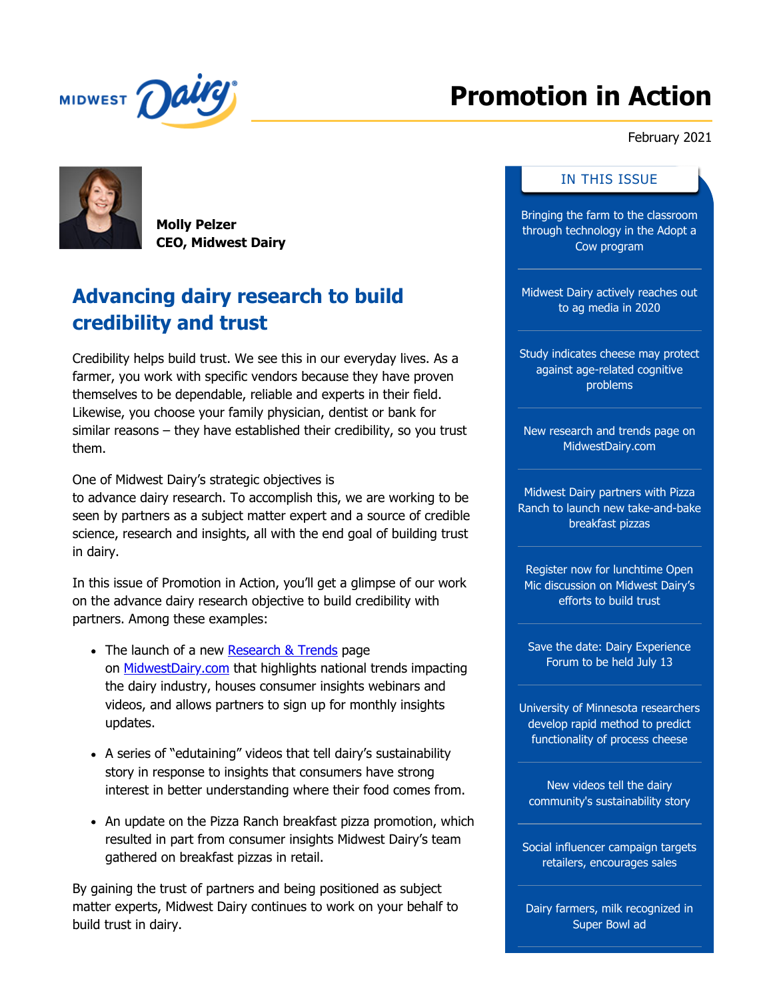<span id="page-0-0"></span>

# **Promotion in Action**

February 2021

**Molly Pelzer CEO, Midwest Dairy**

## **Advancing dairy research to build credibility and trust**

Credibility helps build trust. We see this in our everyday lives. As a farmer, you work with specific vendors because they have proven themselves to be dependable, reliable and experts in their field. Likewise, you choose your family physician, dentist or bank for similar reasons – they have established their credibility, so you trust them.

One of Midwest Dairy's strategic objectives is to advance dairy research. To accomplish this, we are working to be seen by partners as a subject matter expert and a source of credible science, research and insights, all with the end goal of building trust

in dairy. In this issue of Promotion in Action, you'll get a glimpse of our work on the advance dairy research objective to build credibility with partners. Among these examples:

- The launch of a new [Research & Trends](https://www.midwestdairy.com/community/dairy-research/) page on **MidwestDairy.com** that highlights national trends impacting the dairy industry, houses consumer insights webinars and videos, and allows partners to sign up for monthly insights updates.
- A series of "edutaining" videos that tell dairy's sustainability story in response to insights that consumers have strong interest in better understanding where their food comes from.
- An update on the Pizza Ranch breakfast pizza promotion, which resulted in part from consumer insights Midwest Dairy's team gathered on breakfast pizzas in retail.

By gaining the trust of partners and being positioned as subject matter experts, Midwest Dairy continues to work on your behalf to build trust in dairy.

#### IN THIS ISSUE

[Bringing the farm to the classroom](#page-1-0) through technology in the Adopt a Cow program

[Midwest Dairy actively reaches out](#page-1-1) to ag media in 2020

[Study indicates cheese may protect](#page-2-0) against age-related cognitive problems

[New research and trends page on](#page-2-1) MidwestDairy.com

Midwest Dairy partners with Pizza [Ranch to launch new take-and-bake](#page-3-0) breakfast pizzas

Register now for lunchtime Open [Mic discussion on Midwest Dairy's](#page-3-1) efforts to build trust

[Save the date: Dairy Experience](#page-4-0) Forum to be held July 13

[University of Minnesota researchers](#page-4-1) develop rapid method to predict functionality of process cheese

New videos tell the dairy [community's sustainability story](#page-5-0)

[Social influencer campaign targets](#page-5-1) retailers, encourages sales

[Dairy farmers, milk recognized in](#page-6-0) Super Bowl ad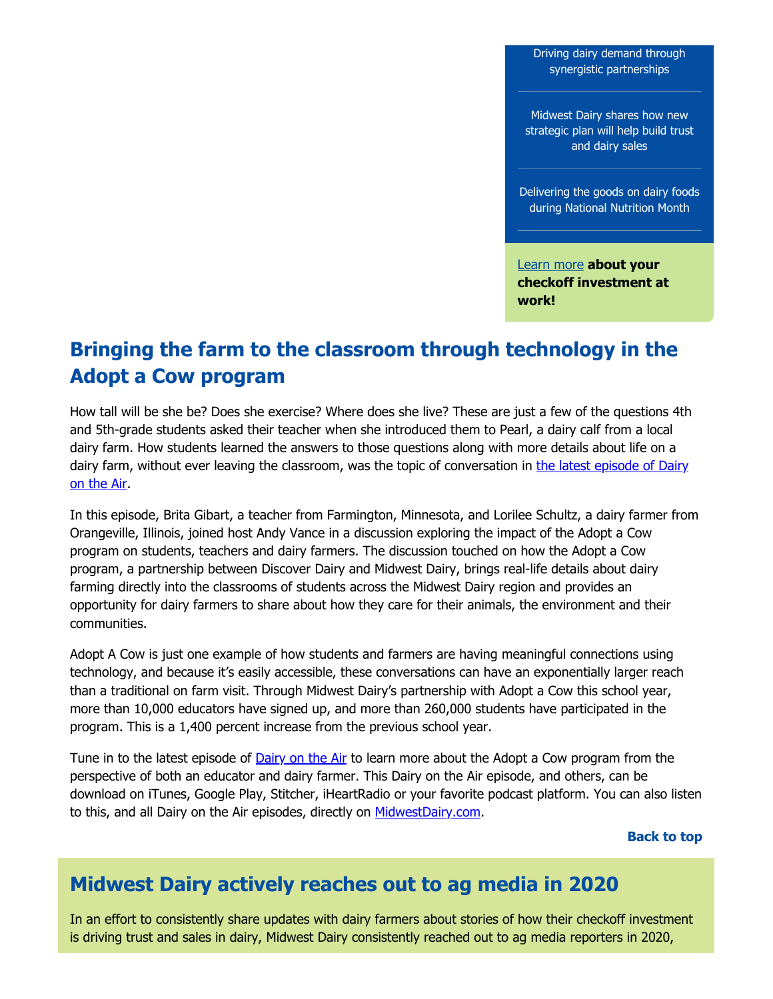[Driving dairy demand through](#page-6-1) synergistic partnerships

Midwest Dairy shares how new [strategic plan will help build trust](#page-7-0) and dairy sales

[Delivering the goods on dairy foods](#page-7-1) during National Nutrition Month

[Learn more](https://www.midwestdairy.com/) **about your checkoff investment at work!**

#### <span id="page-1-0"></span>**Bringing the farm to the classroom through technology in the Adopt a Cow program**

How tall will be she be? Does she exercise? Where does she live? These are just a few of the questions 4th and 5th-grade students asked their teacher when she introduced them to Pearl, a dairy calf from a local dairy farm. How students learned the answers to those questions along with more details about life on a [dairy farm, without ever leaving the classroom, was the topic of conversation in the latest episode of Dairy](https://www.midwestdairy.com/for-farmers/dairy-checkoff/dairy-farmer-communications/dairy-on-the-air/) on the Air.

In this episode, Brita Gibart, a teacher from Farmington, Minnesota, and Lorilee Schultz, a dairy farmer from Orangeville, Illinois, joined host Andy Vance in a discussion exploring the impact of the Adopt a Cow program on students, teachers and dairy farmers. The discussion touched on how the Adopt a Cow program, a partnership between Discover Dairy and Midwest Dairy, brings real-life details about dairy farming directly into the classrooms of students across the Midwest Dairy region and provides an opportunity for dairy farmers to share about how they care for their animals, the environment and their communities.

Adopt A Cow is just one example of how students and farmers are having meaningful connections using technology, and because it's easily accessible, these conversations can have an exponentially larger reach than a traditional on farm visit. Through Midwest Dairy's partnership with Adopt a Cow this school year, more than 10,000 educators have signed up, and more than 260,000 students have participated in the program. This is a 1,400 percent increase from the previous school year.

Tune in to the latest episode of [Dairy on the Air](https://www.midwestdairy.com/for-farmers/dairy-checkoff/dairy-farmer-communications/dairy-on-the-air/) to learn more about the Adopt a Cow program from the perspective of both an educator and dairy farmer. This Dairy on the Air episode, and others, can be download on iTunes, Google Play, Stitcher, iHeartRadio or your favorite podcast platform. You can also listen to this, and all Dairy on the Air episodes, directly on [MidwestDairy.com.](https://www.midwestdairy.com/for-farmers/dairy-checkoff/dairy-farmer-communications/dairy-on-the-air/)

**[Back to top](#page-0-0)**

#### <span id="page-1-1"></span>**Midwest Dairy actively reaches out to ag media in 2020**

In an effort to consistently share updates with dairy farmers about stories of how their checkoff investment is driving trust and sales in dairy, Midwest Dairy consistently reached out to ag media reporters in 2020,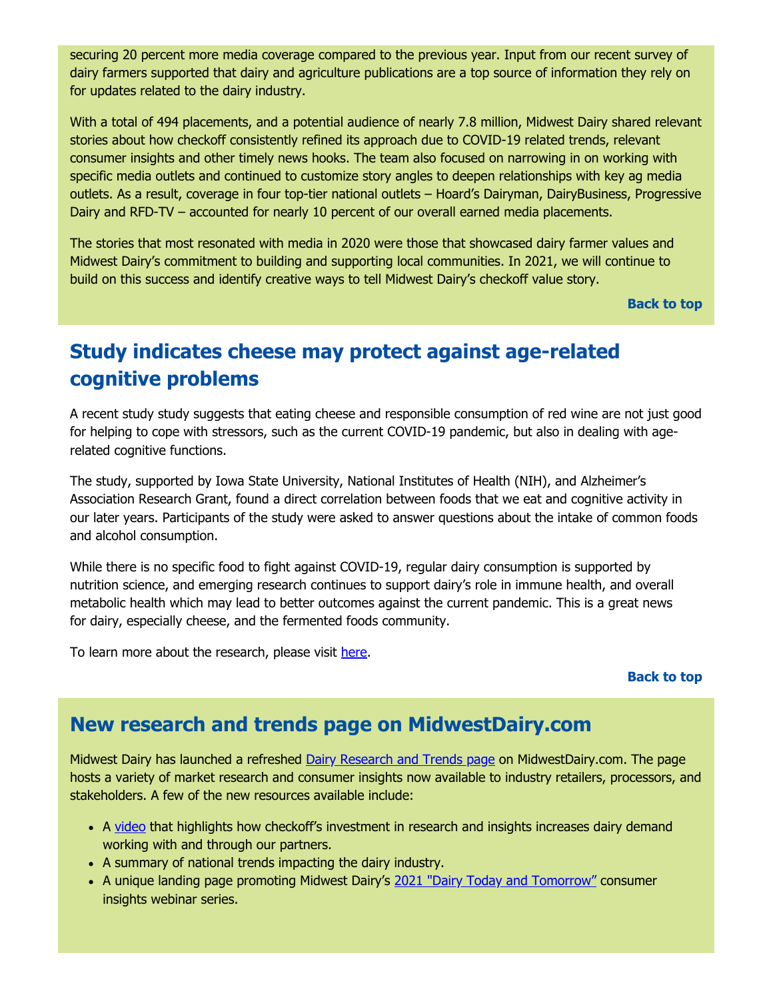securing 20 percent more media coverage compared to the previous year. Input from our recent survey of dairy farmers supported that dairy and agriculture publications are a top source of information they rely on for updates related to the dairy industry.

With a total of 494 placements, and a potential audience of nearly 7.8 million, Midwest Dairy shared relevant stories about how checkoff consistently refined its approach due to COVID-19 related trends, relevant consumer insights and other timely news hooks. The team also focused on narrowing in on working with specific media outlets and continued to customize story angles to deepen relationships with key ag media outlets. As a result, coverage in four top-tier national outlets – Hoard's Dairyman, DairyBusiness, Progressive Dairy and RFD-TV – accounted for nearly 10 percent of our overall earned media placements.

The stories that most resonated with media in 2020 were those that showcased dairy farmer values and Midwest Dairy's commitment to building and supporting local communities. In 2021, we will continue to build on this success and identify creative ways to tell Midwest Dairy's checkoff value story.

**[Back to top](#page-0-0)**

### <span id="page-2-0"></span>**Study indicates cheese may protect against age-related cognitive problems**

A recent study study suggests that eating cheese and responsible consumption of red wine are not just good for helping to cope with stressors, such as the current COVID-19 pandemic, but also in dealing with agerelated cognitive functions.

The study, supported by Iowa State University, National Institutes of Health (NIH), and Alzheimer's Association Research Grant, found a direct correlation between foods that we eat and cognitive activity in our later years. Participants of the study were asked to answer questions about the intake of common foods and alcohol consumption.

While there is no specific food to fight against COVID-19, regular dairy consumption is supported by nutrition science, and emerging research continues to support dairy's role in immune health, and overall metabolic health which may lead to better outcomes against the current pandemic. This is a great news for dairy, especially cheese, and the fermented foods community.

To learn more about the research, please visit [here.](https://www.research.iastate.edu/news/isu-study-indicates-diet-may-help-reduce-cognitive-decline/)

#### **[Back to top](#page-0-0)**

#### <span id="page-2-1"></span>**New research and trends page on MidwestDairy.com**

Midwest Dairy has launched a refreshed [Dairy Research and Trends page](https://www.midwestdairy.com/community/dairy-research/) on MidwestDairy.com. The page hosts a variety of market research and consumer insights now available to industry retailers, processors, and stakeholders. A few of the new resources available include:

- A [video](https://www.youtube.com/watch?v=CId5Tr38zRo&feature=emb_title) that highlights how checkoff's investment in research and insights increases dairy demand working with and through our partners.
- A summary of national trends impacting the dairy industry.
- A unique landing page promoting Midwest Dairy's [2021 "Dairy Today and Tomorrow"](https://www.midwestdairy.com/community/dairy-research/webinars-2021/) consumer insights webinar series.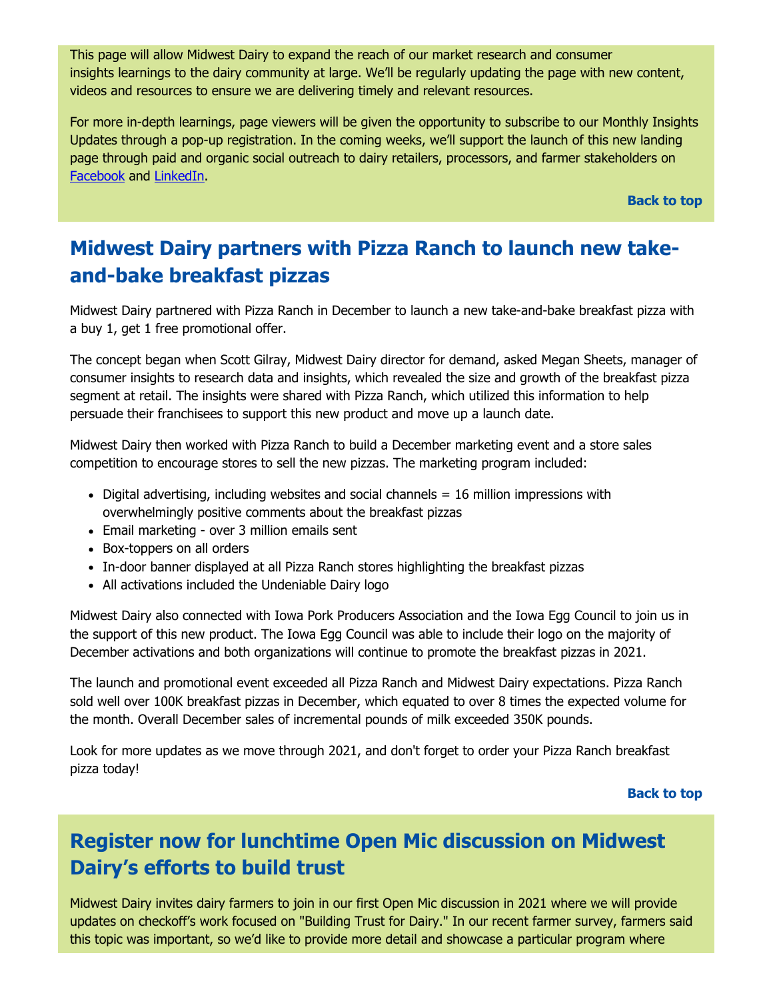This page will allow Midwest Dairy to expand the reach of our market research and consumer insights learnings to the dairy community at large. We'll be regularly updating the page with new content, videos and resources to ensure we are delivering timely and relevant resources.

For more in-depth learnings, page viewers will be given the opportunity to subscribe to our Monthly Insights Updates through a pop-up registration. In the coming weeks, we'll support the launch of this new landing page through paid and organic social outreach to dairy retailers, processors, and farmer stakeholders on [Facebook](https://www.facebook.com/midwestdairy) and [LinkedIn.](https://www.linkedin.com/company/1244562/admin/)

**[Back to top](#page-0-0)**

### <span id="page-3-0"></span>**Midwest Dairy partners with Pizza Ranch to launch new takeand-bake breakfast pizzas**

Midwest Dairy partnered with Pizza Ranch in December to launch a new take-and-bake breakfast pizza with a buy 1, get 1 free promotional offer.

The concept began when Scott Gilray, Midwest Dairy director for demand, asked Megan Sheets, manager of consumer insights to research data and insights, which revealed the size and growth of the breakfast pizza segment at retail. The insights were shared with Pizza Ranch, which utilized this information to help persuade their franchisees to support this new product and move up a launch date.

Midwest Dairy then worked with Pizza Ranch to build a December marketing event and a store sales competition to encourage stores to sell the new pizzas. The marketing program included:

- Digital advertising, including websites and social channels = 16 million impressions with overwhelmingly positive comments about the breakfast pizzas
- Email marketing over 3 million emails sent
- Box-toppers on all orders
- In-door banner displayed at all Pizza Ranch stores highlighting the breakfast pizzas
- All activations included the Undeniable Dairy logo

Midwest Dairy also connected with Iowa Pork Producers Association and the Iowa Egg Council to join us in the support of this new product. The Iowa Egg Council was able to include their logo on the majority of December activations and both organizations will continue to promote the breakfast pizzas in 2021.

The launch and promotional event exceeded all Pizza Ranch and Midwest Dairy expectations. Pizza Ranch sold well over 100K breakfast pizzas in December, which equated to over 8 times the expected volume for the month. Overall December sales of incremental pounds of milk exceeded 350K pounds.

Look for more updates as we move through 2021, and don't forget to order your Pizza Ranch breakfast pizza today!

#### **[Back to top](#page-0-0)**

### <span id="page-3-1"></span>**Register now for lunchtime Open Mic discussion on Midwest Dairy's efforts to build trust**

Midwest Dairy invites dairy farmers to join in our first Open Mic discussion in 2021 where we will provide updates on checkoff's work focused on "Building Trust for Dairy." In our recent farmer survey, farmers said this topic was important, so we'd like to provide more detail and showcase a particular program where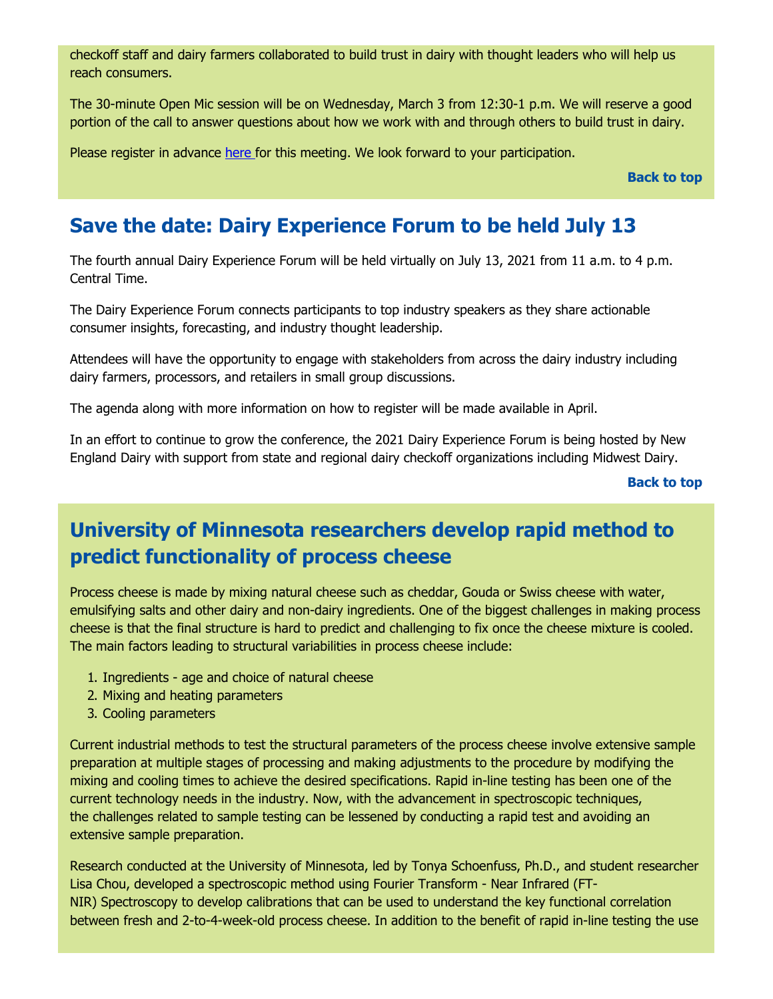checkoff staff and dairy farmers collaborated to build trust in dairy with thought leaders who will help us reach consumers.

The 30-minute Open Mic session will be on Wednesday, March 3 from 12:30-1 p.m. We will reserve a good portion of the call to answer questions about how we work with and through others to build trust in dairy.

Please register in advance [here f](https://midwestdairy.zoom.us/meeting/register/tJ0pd-irpzssEtHMYg4yjXotGmJvX9fk0Arh?_cldee=bXdlYXZlckBtaWR3ZXN0ZGFpcnkuY29t&recipientid=contact-66be36a94e23ea11a810000d3a563be2-9ad85a7bf025430886cf10e9e8904cae&esid=6b469193-9c64-eb11-a812-0022481c314b)or this meeting. We look forward to your participation.

**[Back to top](#page-0-0)**

#### <span id="page-4-0"></span>**Save the date: Dairy Experience Forum to be held July 13**

The fourth annual Dairy Experience Forum will be held virtually on July 13, 2021 from 11 a.m. to 4 p.m. Central Time.

The Dairy Experience Forum connects participants to top industry speakers as they share actionable consumer insights, forecasting, and industry thought leadership.

Attendees will have the opportunity to engage with stakeholders from across the dairy industry including dairy farmers, processors, and retailers in small group discussions.

The agenda along with more information on how to register will be made available in April.

In an effort to continue to grow the conference, the 2021 Dairy Experience Forum is being hosted by New England Dairy with support from state and regional dairy checkoff organizations including Midwest Dairy.

**[Back to top](#page-0-0)**

### <span id="page-4-1"></span>**University of Minnesota researchers develop rapid method to predict functionality of process cheese**

Process cheese is made by mixing natural cheese such as cheddar, Gouda or Swiss cheese with water, emulsifying salts and other dairy and non-dairy ingredients. One of the biggest challenges in making process cheese is that the final structure is hard to predict and challenging to fix once the cheese mixture is cooled. The main factors leading to structural variabilities in process cheese include:

- 1. Ingredients age and choice of natural cheese
- 2. Mixing and heating parameters
- 3. Cooling parameters

Current industrial methods to test the structural parameters of the process cheese involve extensive sample preparation at multiple stages of processing and making adjustments to the procedure by modifying the mixing and cooling times to achieve the desired specifications. Rapid in-line testing has been one of the current technology needs in the industry. Now, with the advancement in spectroscopic techniques, the challenges related to sample testing can be lessened by conducting a rapid test and avoiding an extensive sample preparation.

Research conducted at the University of Minnesota, led by Tonya Schoenfuss, Ph.D., and student researcher Lisa Chou, developed a spectroscopic method using Fourier Transform - Near Infrared (FT-NIR) Spectroscopy to develop calibrations that can be used to understand the key functional correlation between fresh and 2-to-4-week-old process cheese. In addition to the benefit of rapid in-line testing the use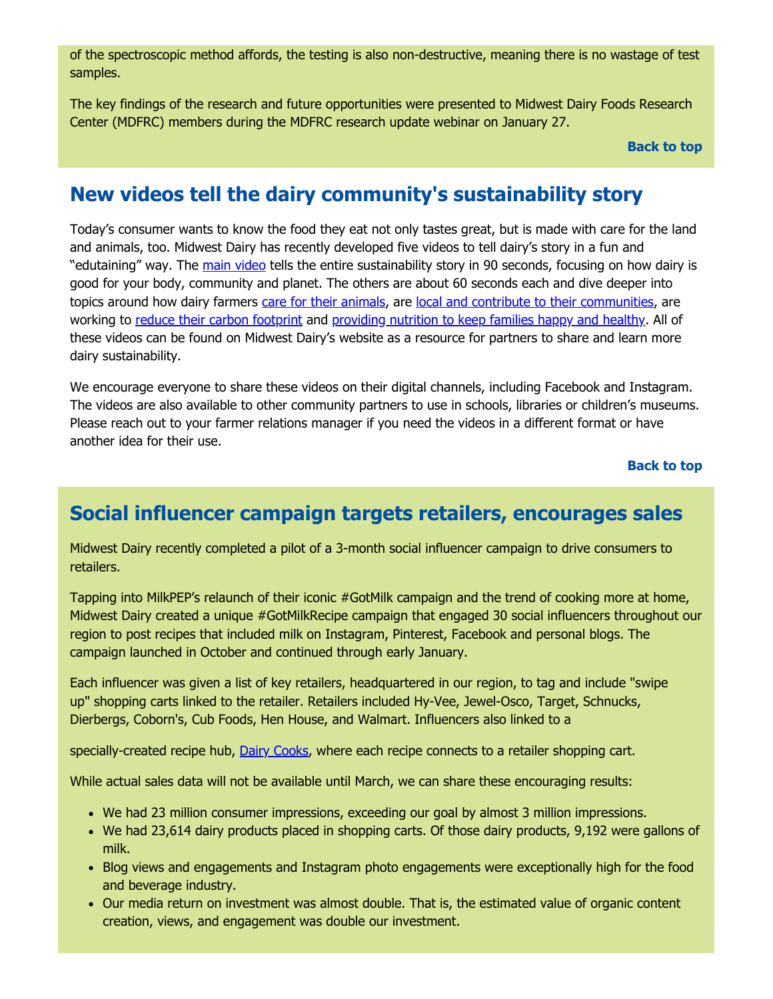of the spectroscopic method affords, the testing is also non-destructive, meaning there is no wastage of test samples.

The key findings of the research and future opportunities were presented to Midwest Dairy Foods Research Center (MDFRC) members during the MDFRC research update webinar on January 27.

#### **[Back to top](#page-0-0)**

#### <span id="page-5-0"></span>**New videos tell the dairy community's sustainability story**

Today's consumer wants to know the food they eat not only tastes great, but is made with care for the land and animals, too. Midwest Dairy has recently developed five videos to tell dairy's story in a fun and "edutaining" way. The [main video](https://youtu.be/2aJ1aEbWd4Y) tells the entire sustainability story in 90 seconds, focusing on how dairy is good for your body, community and planet. The others are about 60 seconds each and dive deeper into topics around how dairy farmers [care for their animals](https://youtu.be/waE0n8a13MQ), are [local and contribute to their communities,](https://youtu.be/rLyc6hqCq1c) are working to [reduce their carbon footprint](https://youtu.be/OJa937z2dic) and [providing nutrition to keep families happy and healthy.](https://youtu.be/sVzryzhkGVQ) All of these videos can be found on Midwest Dairy's website as a resource for partners to share and learn more dairy sustainability.

We encourage everyone to share these videos on their digital channels, including Facebook and Instagram. The videos are also available to other community partners to use in schools, libraries or children's museums. Please reach out to your farmer relations manager if you need the videos in a different format or have another idea for their use.

**[Back to top](#page-0-0)**

#### <span id="page-5-1"></span>**Social influencer campaign targets retailers, encourages sales**

Midwest Dairy recently completed a pilot of a 3-month social influencer campaign to drive consumers to retailers.

Tapping into MilkPEP's relaunch of their iconic #GotMilk campaign and the trend of cooking more at home, Midwest Dairy created a unique #GotMilkRecipe campaign that engaged 30 social influencers throughout our region to post recipes that included milk on Instagram, Pinterest, Facebook and personal blogs. The campaign launched in October and continued through early January.

Each influencer was given a list of key retailers, headquartered in our region, to tag and include "swipe up" shopping carts linked to the retailer. Retailers included Hy-Vee, Jewel-Osco, Target, Schnucks, Dierbergs, Coborn's, Cub Foods, Hen House, and Walmart. Influencers also linked to a

specially-created recipe hub, [Dairy Cooks](https://dairycooks.com/), where each recipe connects to a retailer shopping cart.

While actual sales data will not be available until March, we can share these encouraging results:

- We had 23 million consumer impressions, exceeding our goal by almost 3 million impressions.
- We had 23,614 dairy products placed in shopping carts. Of those dairy products, 9,192 were gallons of milk.
- Blog views and engagements and Instagram photo engagements were exceptionally high for the food and beverage industry.
- Our media return on investment was almost double. That is, the estimated value of organic content creation, views, and engagement was double our investment.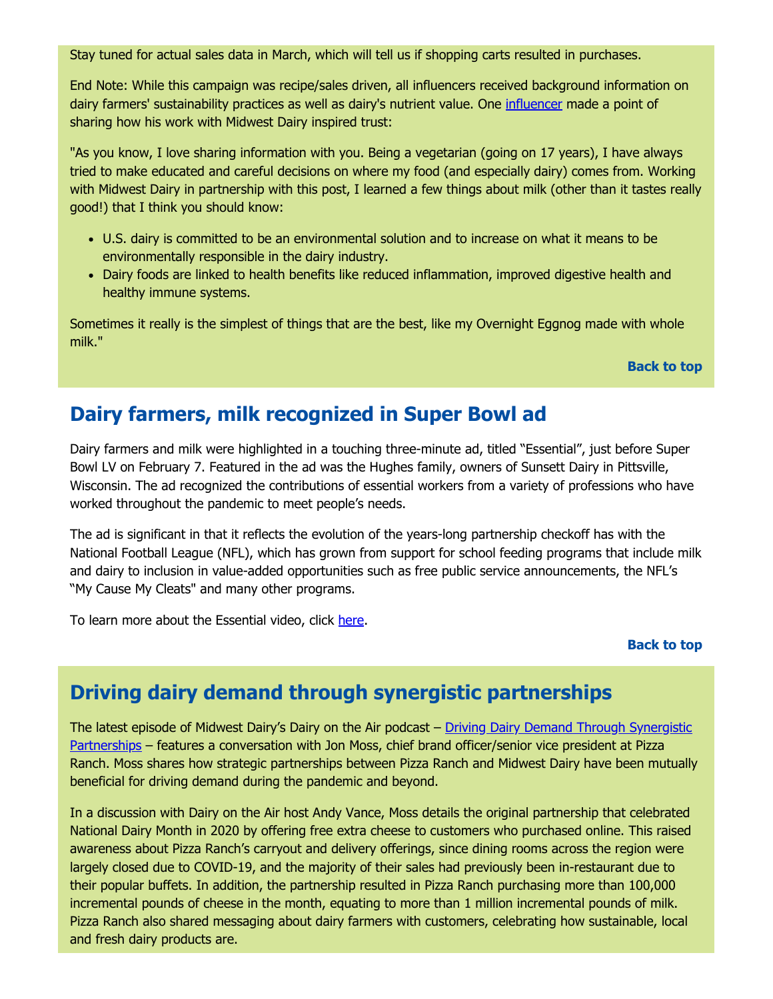Stay tuned for actual sales data in March, which will tell us if shopping carts resulted in purchases.

End Note: While this campaign was recipe/sales driven, all influencers received background information on dairy farmers' sustainability practices as well as dairy's nutrient value. One [influencer](https://www.marcsievers.com/la-vie-piquant/2020/10/21/overnight-eggnog?rq=eggnog) made a point of sharing how his work with Midwest Dairy inspired trust:

"As you know, I love sharing information with you. Being a vegetarian (going on 17 years), I have always tried to make educated and careful decisions on where my food (and especially dairy) comes from. Working with Midwest Dairy in partnership with this post, I learned a few things about milk (other than it tastes really good!) that I think you should know:

- U.S. dairy is committed to be an environmental solution and to increase on what it means to be environmentally responsible in the dairy industry.
- Dairy foods are linked to health benefits like reduced inflammation, improved digestive health and healthy immune systems.

Sometimes it really is the simplest of things that are the best, like my Overnight Eggnog made with whole milk."

**[Back to top](#page-0-0)**

#### <span id="page-6-0"></span>**Dairy farmers, milk recognized in Super Bowl ad**

Dairy farmers and milk were highlighted in a touching three-minute ad, titled "Essential", just before Super Bowl LV on February 7. Featured in the ad was the Hughes family, owners of Sunsett Dairy in Pittsville, Wisconsin. The ad recognized the contributions of essential workers from a variety of professions who have worked throughout the pandemic to meet people's needs.

The ad is significant in that it reflects the evolution of the years-long partnership checkoff has with the National Football League (NFL), which has grown from support for school feeding programs that include milk and dairy to inclusion in value-added opportunities such as free public service announcements, the NFL's "My Cause My Cleats" and many other programs.

To learn more about the Essential video, click [here](https://www.onfocus.news/pittsville-farm-featured-in-super-bowl-commercial/).

#### **[Back to top](#page-0-0)**

#### <span id="page-6-1"></span>**Driving dairy demand through synergistic partnerships**

The latest episode of Midwest Dairy's Dairy on the Air podcast - Driving Dairy Demand Through Synergistic Partnerships – features a conversation with Jon Moss, chief brand officer/senior vice president at Pizza Ranch. Moss shares how strategic partnerships between Pizza Ranch and Midwest Dairy have been mutually beneficial for driving demand during the pandemic and beyond.

In a discussion with Dairy on the Air host Andy Vance, Moss details the original partnership that celebrated National Dairy Month in 2020 by offering free extra cheese to customers who purchased online. This raised awareness about Pizza Ranch's carryout and delivery offerings, since dining rooms across the region were largely closed due to COVID-19, and the majority of their sales had previously been in-restaurant due to their popular buffets. In addition, the partnership resulted in Pizza Ranch purchasing more than 100,000 incremental pounds of cheese in the month, equating to more than 1 million incremental pounds of milk. Pizza Ranch also shared messaging about dairy farmers with customers, celebrating how sustainable, local and fresh dairy products are.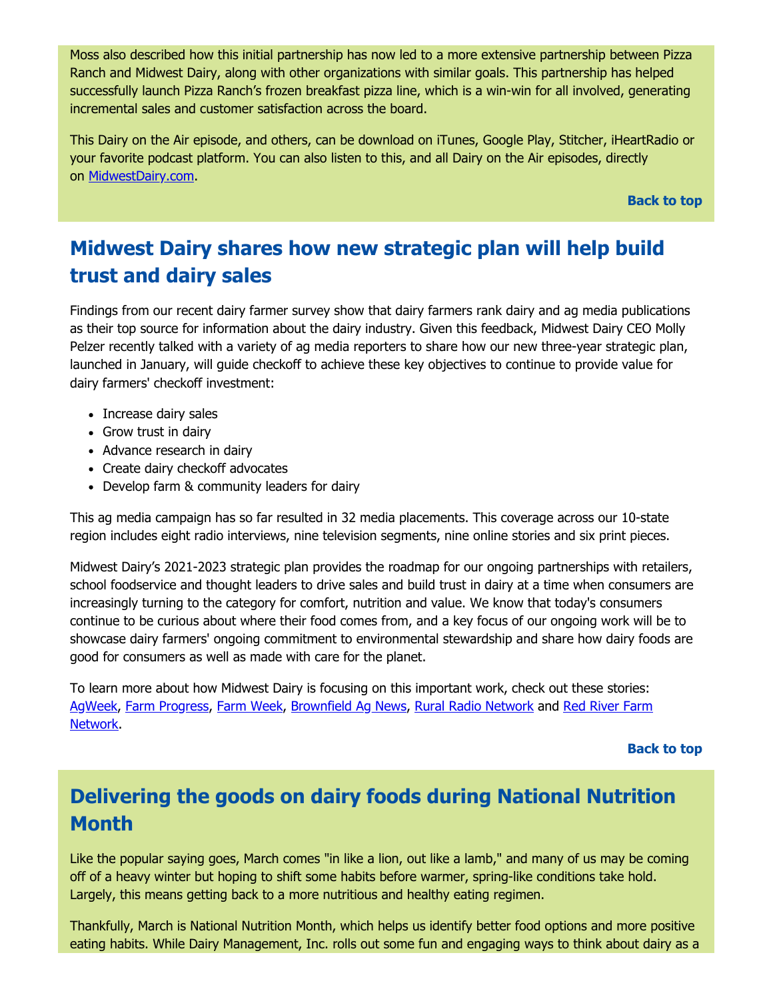Moss also described how this initial partnership has now led to a more extensive partnership between Pizza Ranch and Midwest Dairy, along with other organizations with similar goals. This partnership has helped successfully launch Pizza Ranch's frozen breakfast pizza line, which is a win-win for all involved, generating incremental sales and customer satisfaction across the board.

This Dairy on the Air episode, and others, can be download on iTunes, Google Play, Stitcher, iHeartRadio or your favorite podcast platform. You can also listen to this, and all Dairy on the Air episodes, directly on [MidwestDairy.com.](https://www.midwestdairy.com/for-farmers/dairy-checkoff/dairy-farmer-communications/dairy-on-the-air/)

**[Back to top](#page-0-0)**

### <span id="page-7-0"></span>**Midwest Dairy shares how new strategic plan will help build trust and dairy sales**

Findings from our recent dairy farmer survey show that dairy farmers rank dairy and ag media publications as their top source for information about the dairy industry. Given this feedback, Midwest Dairy CEO Molly Pelzer recently talked with a variety of ag media reporters to share how our new three-year strategic plan, launched in January, will guide checkoff to achieve these key objectives to continue to provide value for dairy farmers' checkoff investment:

- Increase dairy sales
- Grow trust in dairy
- Advance research in dairy
- Create dairy checkoff advocates
- Develop farm & community leaders for dairy

This ag media campaign has so far resulted in 32 media placements. This coverage across our 10-state region includes eight radio interviews, nine television segments, nine online stories and six print pieces.

Midwest Dairy's 2021-2023 strategic plan provides the roadmap for our ongoing partnerships with retailers, school foodservice and thought leaders to drive sales and build trust in dairy at a time when consumers are increasingly turning to the category for comfort, nutrition and value. We know that today's consumers continue to be curious about where their food comes from, and a key focus of our ongoing work will be to showcase dairy farmers' ongoing commitment to environmental stewardship and share how dairy foods are good for consumers as well as made with care for the planet.

To learn more about how Midwest Dairy is focusing on this important work, check out these stories: [AgWee](https://www.agweek.com/business/agriculture/6861083-Midwest-Dairy-launches-new-plan-to-promote-dairy)[k, F](https://www.rrfn.com/wp-content/uploads/2021/01/012621-Midwest-Dairy-air-check-Pelzer.mp3)[arm Progres](https://www.farmprogress.com/dairy/2020-challenges-aside-midwest-dairy-forges-new-3-year-plan)[s, F](https://www.rrfn.com/wp-content/uploads/2021/01/012621-Midwest-Dairy-air-check-Pelzer.mp3)[arm Wee](https://www.farmweeknow.com/profitability/midwest-dairy-launches-strategic-plan/article_4d0584e0-5bff-11eb-b385-0b7fc506f792.html)[k, B](https://www.rrfn.com/wp-content/uploads/2021/01/012621-Midwest-Dairy-air-check-Pelzer.mp3)[rownfield Ag New](https://brownfieldagnews.com/news/consumer-interest-in-food-supply-chain-grows-during-pandemic/)[s, R](https://www.rrfn.com/wp-content/uploads/2021/01/012621-Midwest-Dairy-air-check-Pelzer.mp3)[ural Radio Network](https://post.futurimedia.com/krvnam/playlist/79/listen-12633.html?cb=1611776486.327878) [and Red River Farm](https://www.rrfn.com/wp-content/uploads/2021/01/012621-Midwest-Dairy-air-check-Pelzer.mp3) Network.

**[Back to top](#page-0-0)**

#### <span id="page-7-1"></span>**Delivering the goods on dairy foods during National Nutrition Month**

Like the popular saying goes, March comes "in like a lion, out like a lamb," and many of us may be coming off of a heavy winter but hoping to shift some habits before warmer, spring-like conditions take hold. Largely, this means getting back to a more nutritious and healthy eating regimen.

Thankfully, March is National Nutrition Month, which helps us identify better food options and more positive eating habits. While Dairy Management, Inc. rolls out some fun and engaging ways to think about dairy as a